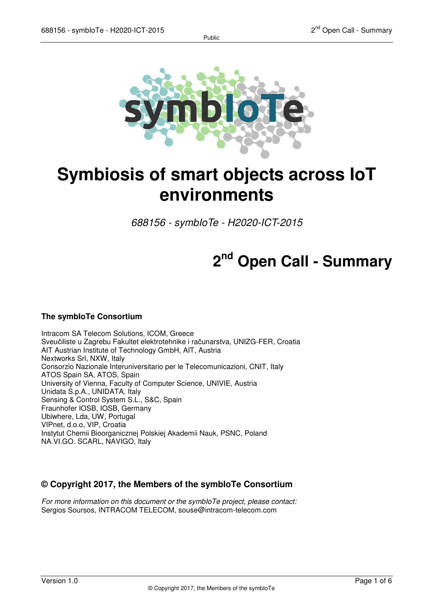Public



# **Symbiosis of smart objects across IoT environments**

688156 - symbIoTe - H2020-ICT-2015

## **2 nd Open Call - Summary**

#### **The symbIoTe Consortium**

Intracom SA Telecom Solutions, ICOM, Greece Sveučiliste u Zagrebu Fakultet elektrotehnike i računarstva, UNIZG-FER, Croatia AIT Austrian Institute of Technology GmbH, AIT, Austria Nextworks Srl, NXW, Italy Consorzio Nazionale Interuniversitario per le Telecomunicazioni, CNIT, Italy ATOS Spain SA, ATOS, Spain University of Vienna, Faculty of Computer Science, UNIVIE, Austria Unidata S.p.A., UNIDATA, Italy Sensing & Control System S.L., S&C, Spain Fraunhofer IOSB, IOSB, Germany Ubiwhere, Lda, UW, Portugal VIPnet, d.o.o, VIP, Croatia Instytut Chemii Bioorganicznej Polskiej Akademii Nauk, PSNC, Poland NA.VI.GO. SCARL, NAVIGO, Italy

#### **© Copyright 2017, the Members of the symbIoTe Consortium**

For more information on this document or the symbloTe project, please contact: Sergios Soursos, INTRACOM TELECOM, souse@intracom-telecom.com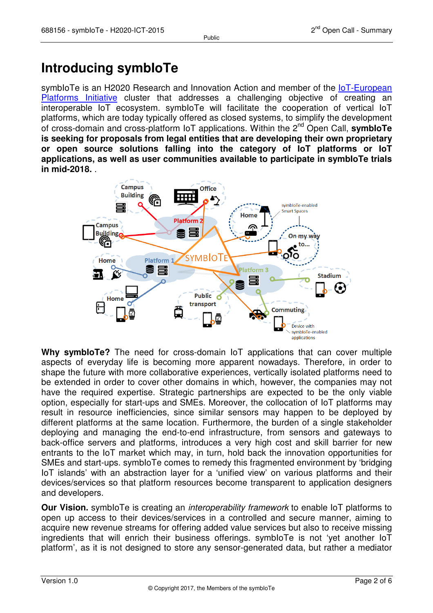### **Introducing symbIoTe**

symbloTe is an H2020 Research and Innovation Action and member of the IoT-European Platforms Initiative cluster that addresses a challenging objective of creating an interoperable IoT ecosystem. symbIoTe will facilitate the cooperation of vertical IoT platforms, which are today typically offered as closed systems, to simplify the development of cross-domain and cross-platform IoT applications. Within the 2nd Open Call, **symbIoTe is seeking for proposals from legal entities that are developing their own proprietary or open source solutions falling into the category of IoT platforms or IoT applications, as well as user communities available to participate in symbIoTe trials in mid-2018.** .



**Why symbIoTe?** The need for cross-domain IoT applications that can cover multiple aspects of everyday life is becoming more apparent nowadays. Therefore, in order to shape the future with more collaborative experiences, vertically isolated platforms need to be extended in order to cover other domains in which, however, the companies may not have the required expertise. Strategic partnerships are expected to be the only viable option, especially for start-ups and SMEs. Moreover, the collocation of IoT platforms may result in resource inefficiencies, since similar sensors may happen to be deployed by different platforms at the same location. Furthermore, the burden of a single stakeholder deploying and managing the end-to-end infrastructure, from sensors and gateways to back-office servers and platforms, introduces a very high cost and skill barrier for new entrants to the IoT market which may, in turn, hold back the innovation opportunities for SMEs and start-ups. symbIoTe comes to remedy this fragmented environment by 'bridging IoT islands' with an abstraction layer for a 'unified view' on various platforms and their devices/services so that platform resources become transparent to application designers and developers.

**Our Vision.** symbioTe is creating an *interoperability framework* to enable IoT platforms to open up access to their devices/services in a controlled and secure manner, aiming to acquire new revenue streams for offering added value services but also to receive missing ingredients that will enrich their business offerings. symbIoTe is not 'yet another IoT platform', as it is not designed to store any sensor-generated data, but rather a mediator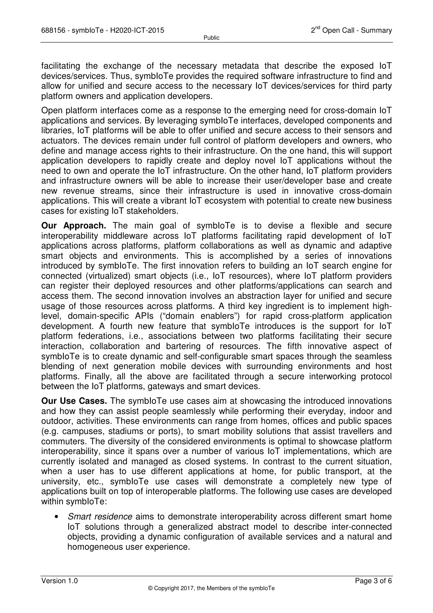facilitating the exchange of the necessary metadata that describe the exposed IoT devices/services. Thus, symbIoTe provides the required software infrastructure to find and allow for unified and secure access to the necessary IoT devices/services for third party platform owners and application developers.

Open platform interfaces come as a response to the emerging need for cross-domain IoT applications and services. By leveraging symbIoTe interfaces, developed components and libraries, IoT platforms will be able to offer unified and secure access to their sensors and actuators. The devices remain under full control of platform developers and owners, who define and manage access rights to their infrastructure. On the one hand, this will support application developers to rapidly create and deploy novel IoT applications without the need to own and operate the IoT infrastructure. On the other hand, IoT platform providers and infrastructure owners will be able to increase their user/developer base and create new revenue streams, since their infrastructure is used in innovative cross-domain applications. This will create a vibrant IoT ecosystem with potential to create new business cases for existing IoT stakeholders.

**Our Approach.** The main goal of symbloTe is to devise a flexible and secure interoperability middleware across IoT platforms facilitating rapid development of IoT applications across platforms, platform collaborations as well as dynamic and adaptive smart objects and environments. This is accomplished by a series of innovations introduced by symbIoTe. The first innovation refers to building an IoT search engine for connected (virtualized) smart objects (i.e., IoT resources), where IoT platform providers can register their deployed resources and other platforms/applications can search and access them. The second innovation involves an abstraction layer for unified and secure usage of those resources across platforms. A third key ingredient is to implement highlevel, domain-specific APIs ("domain enablers") for rapid cross-platform application development. A fourth new feature that symbIoTe introduces is the support for IoT platform federations, i.e., associations between two platforms facilitating their secure interaction, collaboration and bartering of resources. The fifth innovative aspect of symbIoTe is to create dynamic and self-configurable smart spaces through the seamless blending of next generation mobile devices with surrounding environments and host platforms. Finally, all the above are facilitated through a secure interworking protocol between the IoT platforms, gateways and smart devices.

**Our Use Cases.** The symbioTe use cases aim at showcasing the introduced innovations and how they can assist people seamlessly while performing their everyday, indoor and outdoor, activities. These environments can range from homes, offices and public spaces (e.g. campuses, stadiums or ports), to smart mobility solutions that assist travellers and commuters. The diversity of the considered environments is optimal to showcase platform interoperability, since it spans over a number of various IoT implementations, which are currently isolated and managed as closed systems. In contrast to the current situation, when a user has to use different applications at home, for public transport, at the university, etc., symbIoTe use cases will demonstrate a completely new type of applications built on top of interoperable platforms. The following use cases are developed within symbIoTe:

• Smart residence aims to demonstrate interoperability across different smart home IoT solutions through a generalized abstract model to describe inter-connected objects, providing a dynamic configuration of available services and a natural and homogeneous user experience.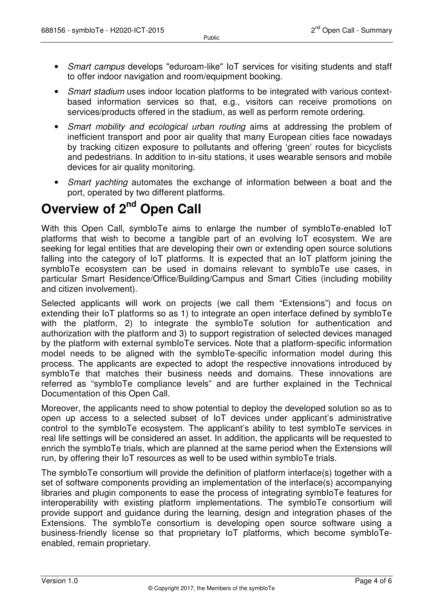- Smart campus develops "eduroam-like" IoT services for visiting students and staff to offer indoor navigation and room/equipment booking.
- Smart stadium uses indoor location platforms to be integrated with various contextbased information services so that, e.g., visitors can receive promotions on services/products offered in the stadium, as well as perform remote ordering.
- Smart mobility and ecological urban routing aims at addressing the problem of inefficient transport and poor air quality that many European cities face nowadays by tracking citizen exposure to pollutants and offering 'green' routes for bicyclists and pedestrians. In addition to in-situ stations, it uses wearable sensors and mobile devices for air quality monitoring.
- Smart yachting automates the exchange of information between a boat and the port, operated by two different platforms.

### **Overview of 2nd Open Call**

With this Open Call, symbioTe aims to enlarge the number of symbioTe-enabled IoT platforms that wish to become a tangible part of an evolving IoT ecosystem. We are seeking for legal entities that are developing their own or extending open source solutions falling into the category of IoT platforms. It is expected that an IoT platform joining the symbloTe ecosystem can be used in domains relevant to symbloTe use cases, in particular Smart Residence/Office/Building/Campus and Smart Cities (including mobility and citizen involvement).

Selected applicants will work on projects (we call them "Extensions") and focus on extending their IoT platforms so as 1) to integrate an open interface defined by symbIoTe with the platform, 2) to integrate the symbloTe solution for authentication and authorization with the platform and 3) to support registration of selected devices managed by the platform with external symbIoTe services. Note that a platform-specific information model needs to be aligned with the symbIoTe-specific information model during this process. The applicants are expected to adopt the respective innovations introduced by symbIoTe that matches their business needs and domains. These innovations are referred as "symbIoTe compliance levels" and are further explained in the Technical Documentation of this Open Call.

Moreover, the applicants need to show potential to deploy the developed solution so as to open up access to a selected subset of IoT devices under applicant's administrative control to the symbIoTe ecosystem. The applicant's ability to test symbIoTe services in real life settings will be considered an asset. In addition, the applicants will be requested to enrich the symbloTe trials, which are planned at the same period when the Extensions will run, by offering their IoT resources as well to be used within symbIoTe trials.

The symbIoTe consortium will provide the definition of platform interface(s) together with a set of software components providing an implementation of the interface(s) accompanying libraries and plugin components to ease the process of integrating symbIoTe features for interoperability with existing platform implementations. The symbloTe consortium will provide support and guidance during the learning, design and integration phases of the Extensions. The symbloTe consortium is developing open source software using a business-friendly license so that proprietary IoT platforms, which become symbIoTeenabled, remain proprietary.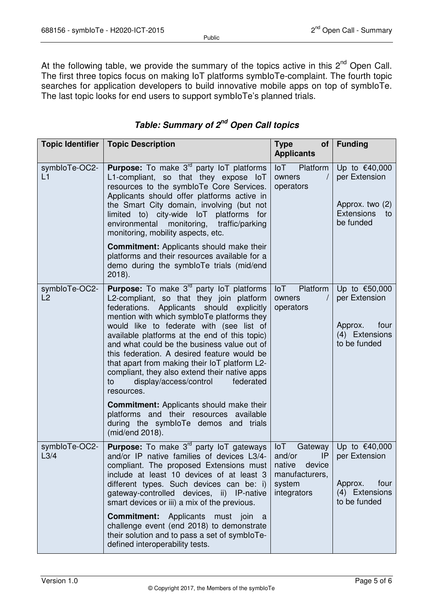At the following table, we provide the summary of the topics active in this  $2<sup>nd</sup>$  Open Call. The first three topics focus on making IoT platforms symbIoTe-complaint. The fourth topic searches for application developers to build innovative mobile apps on top of symbIoTe. The last topic looks for end users to support symbioTe's planned trials.

| Topic Identifier      | <b>Topic Description</b>                                                                                                                                                                                                                                                                                                                                                                                                                                                                                                                                                                                  | <b>Type</b><br>of <sub>1</sub>                                                             | <b>Funding</b>                                                                                  |
|-----------------------|-----------------------------------------------------------------------------------------------------------------------------------------------------------------------------------------------------------------------------------------------------------------------------------------------------------------------------------------------------------------------------------------------------------------------------------------------------------------------------------------------------------------------------------------------------------------------------------------------------------|--------------------------------------------------------------------------------------------|-------------------------------------------------------------------------------------------------|
|                       |                                                                                                                                                                                                                                                                                                                                                                                                                                                                                                                                                                                                           | <b>Applicants</b>                                                                          |                                                                                                 |
| symbloTe-OC2-<br>L1   | <b>Purpose:</b> To make $3^{rd}$ party loT platforms<br>L1-compliant, so that they expose loT<br>resources to the symbloTe Core Services.<br>Applicants should offer platforms active in<br>the Smart City domain, involving (but not<br>limited to) city-wide IoT platforms for<br>monitoring, traffic/parking<br>environmental<br>monitoring, mobility aspects, etc.                                                                                                                                                                                                                                    | loT Platform<br>owners<br>$\prime$<br>operators                                            | Up to €40,000<br>per Extension<br>Approx. two (2)<br><b>Extensions</b><br>to<br>be funded       |
|                       | <b>Commitment:</b> Applicants should make their<br>platforms and their resources available for a<br>demo during the symbloTe trials (mid/end<br>$2018$ ).                                                                                                                                                                                                                                                                                                                                                                                                                                                 |                                                                                            |                                                                                                 |
| symbloTe-OC2-<br>L2   | <b>Purpose:</b> To make $3^{rd}$ party loT platforms<br>L2-compliant, so that they join platform<br>federations. Applicants should<br>explicitly<br>mention with which symbloTe platforms they<br>would like to federate with (see list of<br>available platforms at the end of this topic)<br>and what could be the business value out of<br>this federation. A desired feature would be<br>that apart from making their IoT platform L2-<br>compliant, they also extend their native apps<br>display/access/control<br>federated<br>to<br>resources.<br><b>Commitment:</b> Applicants should make their | $I \circ T$<br>Platform<br>owners<br>$\prime$<br>operators                                 | Up to €50,000<br>per Extension<br>Approx.<br>four<br>(4) Extensions<br>to be funded             |
|                       | platforms and their resources available<br>during the symbloTe demos and trials<br>(mid/end 2018).                                                                                                                                                                                                                                                                                                                                                                                                                                                                                                        |                                                                                            |                                                                                                 |
| symbloTe-OC2-<br>L3/4 | <b>Purpose:</b> To make 3 <sup>rd</sup> party loT gateways<br>and/or IP native families of devices L3/4-<br>compliant. The proposed Extensions must<br>include at least 10 devices of at least 3<br>different types. Such devices can be: i)<br>gateway-controlled devices, ii) IP-native<br>smart devices or iii) a mix of the previous.                                                                                                                                                                                                                                                                 | $I \circ T$<br>and/or<br>IP<br>device<br>native<br>manufacturers,<br>system<br>integrators | Gateway   Up to $€40,000$<br>per Extension<br>four<br>Approx.<br>(4) Extensions<br>to be funded |
|                       | <b>Commitment:</b><br>Applicants must join<br>- a<br>challenge event (end 2018) to demonstrate<br>their solution and to pass a set of symbloTe-<br>defined interoperability tests.                                                                                                                                                                                                                                                                                                                                                                                                                        |                                                                                            |                                                                                                 |

#### **Table: Summary of 2nd Open Call topics**